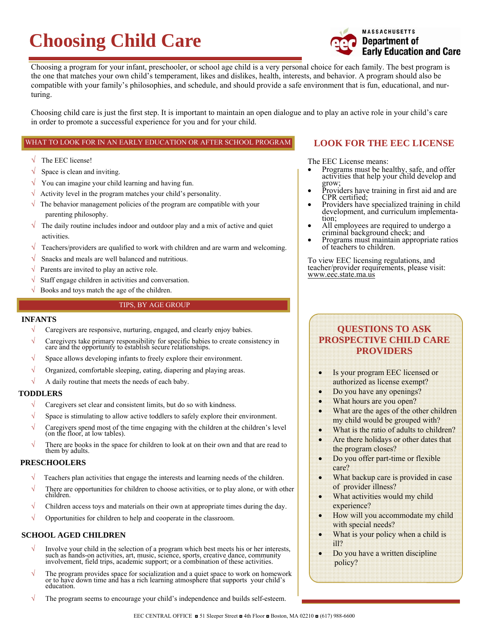# **Choosing Child Care**



Choosing a program for your infant, preschooler, or school age child is a very personal choice for each family. The best program is the one that matches your own child's temperament, likes and dislikes, health, interests, and behavior. A program should also be compatible with your family's philosophies, and schedule, and should provide a safe environment that is fun, educational, and nurturing.

Choosing child care is just the first step. It is important to maintain an open dialogue and to play an active role in your child's care in order to promote a successful experience for you and for your child.

### WHAT TO LOOK FOR IN AN EARLY EDUCATION OR AFTER SCHOOL PROGRAM

- $\sqrt{\phantom{a}}$  The EEC license!
- $\sqrt{\ }$  Space is clean and inviting.
- $\sqrt{\phantom{a}}$  You can imagine your child learning and having fun.
- $\sqrt{\phantom{a}}$  Activity level in the program matches your child's personality.
- $\sqrt{\ }$  The behavior management policies of the program are compatible with your parenting philosophy.
- $\sqrt{\phantom{a}}$  The daily routine includes indoor and outdoor play and a mix of active and quiet activities.
- $\sqrt{\ }$  Teachers/providers are qualified to work with children and are warm and welcoming.
- $\sqrt{\ }$  Snacks and meals are well balanced and nutritious.
- $\sqrt{\ }$  Parents are invited to play an active role.
- $\sqrt{\ }$  Staff engage children in activities and conversation.
- $\sqrt{\ }$  Books and toys match the age of the children.

### TIPS, BY AGE GROUP

### **INFANTS**

- $\sqrt{\phantom{a}}$  Caregivers are responsive, nurturing, engaged, and clearly enjoy babies.
- <sup>√</sup> Caregivers take primary responsibility for specific babies to create consistency in care and the opportunity to establish secure relationships.
- Space allows developing infants to freely explore their environment.
- $\sqrt{\phantom{a}}$  Organized, comfortable sleeping, eating, diapering and playing areas.
- $\sqrt{\phantom{a}}$  A daily routine that meets the needs of each baby.

### **TODDLERS**

- $\sqrt{\phantom{a}}$  Caregivers set clear and consistent limits, but do so with kindness.
- $\sqrt{\phantom{a}}$  Space is stimulating to allow active toddlers to safely explore their environment.
- √ Caregivers spend most of the time engaging with the children at the children's level (on the floor, at low tables).
- √ There are books in the space for children to look at on their own and that are read to them by adults.

### **PRESCHOOLERS**

- Teachers plan activities that engage the interests and learning needs of the children.
- <sup>√</sup> There are opportunities for children to choose activities, or to play alone, or with other children.
- $\sqrt{\phantom{a}}$  Children access toys and materials on their own at appropriate times during the day.
- $\sqrt{\phantom{a}}$  Opportunities for children to help and cooperate in the classroom.

### **SCHOOL AGED CHILDREN**

- Involve your child in the selection of a program which best meets his or her interests, such as hands-on activities, art, music, science, sports, creative dance, community involvement, field trips, academic support; or a c
- √ The program provides space for socialization and a quiet space to work on homework or to have down time and has a rich learning atmosphere that supports your child's education.
- The program seems to encourage your child's independence and builds self-esteem.

# **LOOK FOR THE EEC LICENSE**

The EEC License means:

- Programs must be healthy, safe, and offer activities that help your child develop and grow;
- Providers have training in first aid and are CPR certified;
- Providers have specialized training in child development, and curriculum implementation;
- All employees are required to undergo a criminal background check; and
- Programs must maintain appropriate ratios of teachers to children.

To view EEC licensing regulations, and teacher/provider requirements, please visit: www.eec.state.ma.us

# **QUESTIONS TO ASK PROSPECTIVE CHILD CARE PROVIDERS**

- Is your program EEC licensed or authorized as license exempt?
- Do you have any openings?
- What hours are you open?
- What are the ages of the other children my child would be grouped with?
- What is the ratio of adults to children?
- Are there holidays or other dates that the program closes?
- Do you offer part-time or flexible care?
- What backup care is provided in case of provider illness?
- What activities would my child experience?
- How will you accommodate my child with special needs?
- What is your policy when a child is ill?
- Do you have a written discipline policy?